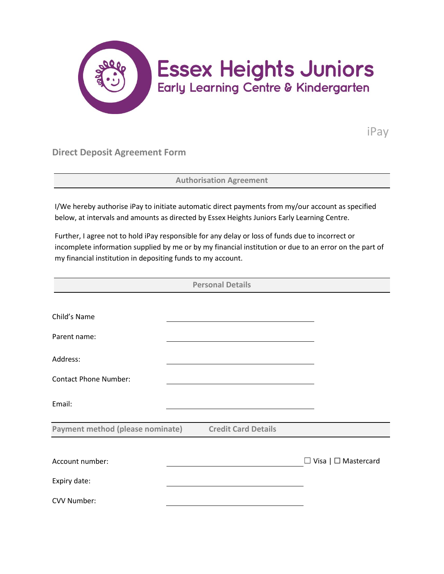

iPay

**Direct Deposit Agreement Form**

**Authorisation Agreement**

I/We hereby authorise iPay to initiate automatic direct payments from my/our account as specified below, at intervals and amounts as directed by Essex Heights Juniors Early Learning Centre.

Further, I agree not to hold iPay responsible for any delay or loss of funds due to incorrect or incomplete information supplied by me or by my financial institution or due to an error on the part of my financial institution in depositing funds to my account.

| <b>Personal Details</b>          |  |                            |  |                                 |
|----------------------------------|--|----------------------------|--|---------------------------------|
|                                  |  |                            |  |                                 |
| Child's Name                     |  |                            |  |                                 |
| Parent name:                     |  |                            |  |                                 |
| Address:                         |  |                            |  |                                 |
| <b>Contact Phone Number:</b>     |  |                            |  |                                 |
| Email:                           |  |                            |  |                                 |
| Payment method (please nominate) |  | <b>Credit Card Details</b> |  |                                 |
|                                  |  |                            |  |                                 |
| Account number:                  |  |                            |  | $\Box$ Visa   $\Box$ Mastercard |
| Expiry date:                     |  |                            |  |                                 |
| CVV Number:                      |  |                            |  |                                 |